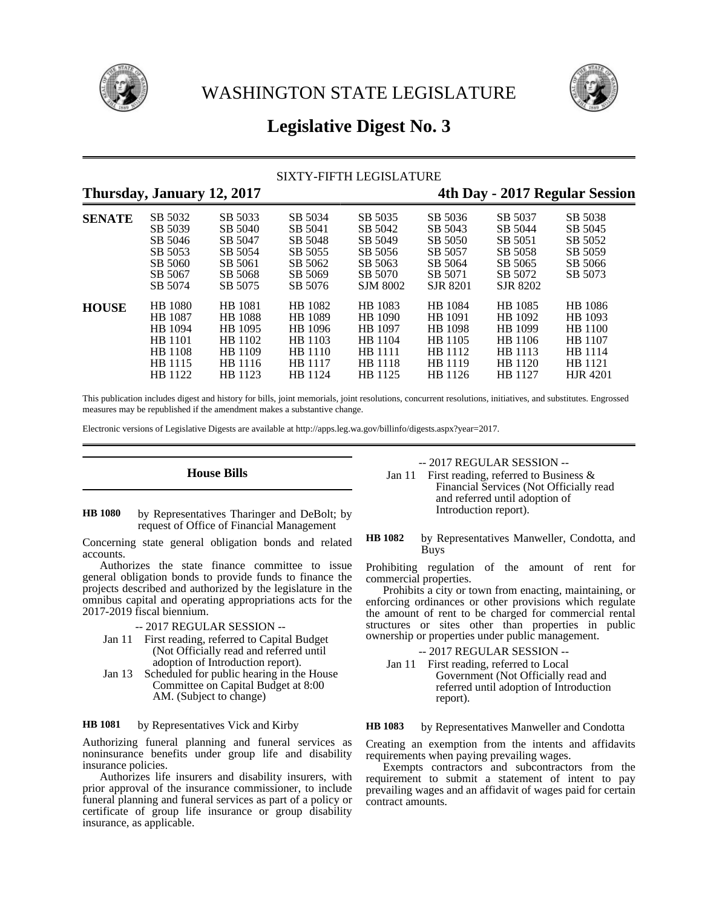



# **Legislative Digest No. 3**

## SIXTY-FIFTH LEGISLATURE

## **Thursday, January 12, 2017 4th Day - 2017 Regular Session**

| <b>SENATE</b> | SB 5032            | SB 5033            | SB 5034            | SB 5035             | SB 5036             | SB 5037             | SB 5038         |
|---------------|--------------------|--------------------|--------------------|---------------------|---------------------|---------------------|-----------------|
|               | SB 5039            | SB 5040            | SB 5041            | SB 5042             | SB 5043             | SB 5044             | SB 5045         |
|               | SB 5046            | SB 5047            | SB 5048            | SB 5049             | SB 5050             | SB 5051             | SB 5052         |
|               | SB 5053            | SB 5054            | SB 5055            | SB 5056             | SB 5057             | SB 5058             | SB 5059         |
|               | SB 5060            | SB 5061            | SB 5062            | SB 5063             | SB 5064             | SB 5065             | SB 5066         |
|               | SB 5067<br>SB 5074 | SB 5068<br>SB 5075 | SB 5069<br>SB 5076 | SB 5070<br>SJM 8002 | SB 5071<br>SJR 8201 | SB 5072<br>SJR 8202 | SB 5073         |
| <b>HOUSE</b>  | HB 1080            | <b>HB</b> 1081     | HB 1082            | HB 1083             | HB 1084             | HB 1085             | HB 1086         |
|               | <b>HB</b> 1087     | <b>HB</b> 1088     | HB 1089            | HB 1090             | HB 1091             | HB 1092             | HB 1093         |
|               | HB 1094            | HB 1095            | HB 1096            | HB 1097             | HB 1098             | HB 1099             | HB 1100         |
|               | HB 1101            | HB 1102            | HB 1103            | HB 1104             | HB 1105             | HB 1106             | HB 1107         |
|               | HB 1108            | HB 1109            | HB 1110            | HB 1111             | HB 1112             | HB 1113             | HB 1114         |
|               | HB 1115            | HB 1116            | HB 1117            | HB 1118             | HB 1119             | HB 1120             | HB 1121         |
|               | HB 1122            | HB 1123            | HB 1124            | HB 1125             | HB 1126             | HB 1127             | <b>HJR</b> 4201 |

This publication includes digest and history for bills, joint memorials, joint resolutions, concurrent resolutions, initiatives, and substitutes. Engrossed measures may be republished if the amendment makes a substantive change.

Electronic versions of Legislative Digests are available at http://apps.leg.wa.gov/billinfo/digests.aspx?year=2017.

## **House Bills**

### by Representatives Tharinger and DeBolt; by request of Office of Financial Management **HB 1080**

Concerning state general obligation bonds and related accounts.

Authorizes the state finance committee to issue general obligation bonds to provide funds to finance the projects described and authorized by the legislature in the omnibus capital and operating appropriations acts for the 2017-2019 fiscal biennium.

- -- 2017 REGULAR SESSION --
- Jan 11 First reading, referred to Capital Budget (Not Officially read and referred until adoption of Introduction report).
- Jan 13 Scheduled for public hearing in the House Committee on Capital Budget at 8:00 AM. (Subject to change)

### by Representatives Vick and Kirby **HB 1081**

Authorizing funeral planning and funeral services as noninsurance benefits under group life and disability insurance policies.

Authorizes life insurers and disability insurers, with prior approval of the insurance commissioner, to include funeral planning and funeral services as part of a policy or certificate of group life insurance or group disability insurance, as applicable.

-- 2017 REGULAR SESSION --

Jan 11 First reading, referred to Business & Financial Services (Not Officially read and referred until adoption of Introduction report).

by Representatives Manweller, Condotta, and Buys **HB 1082**

Prohibiting regulation of the amount of rent for commercial properties.

Prohibits a city or town from enacting, maintaining, or enforcing ordinances or other provisions which regulate the amount of rent to be charged for commercial rental structures or sites other than properties in public ownership or properties under public management.

-- 2017 REGULAR SESSION --

Jan 11 First reading, referred to Local Government (Not Officially read and referred until adoption of Introduction report).

#### by Representatives Manweller and Condotta **HB 1083**

Creating an exemption from the intents and affidavits requirements when paying prevailing wages.

Exempts contractors and subcontractors from the requirement to submit a statement of intent to pay prevailing wages and an affidavit of wages paid for certain contract amounts.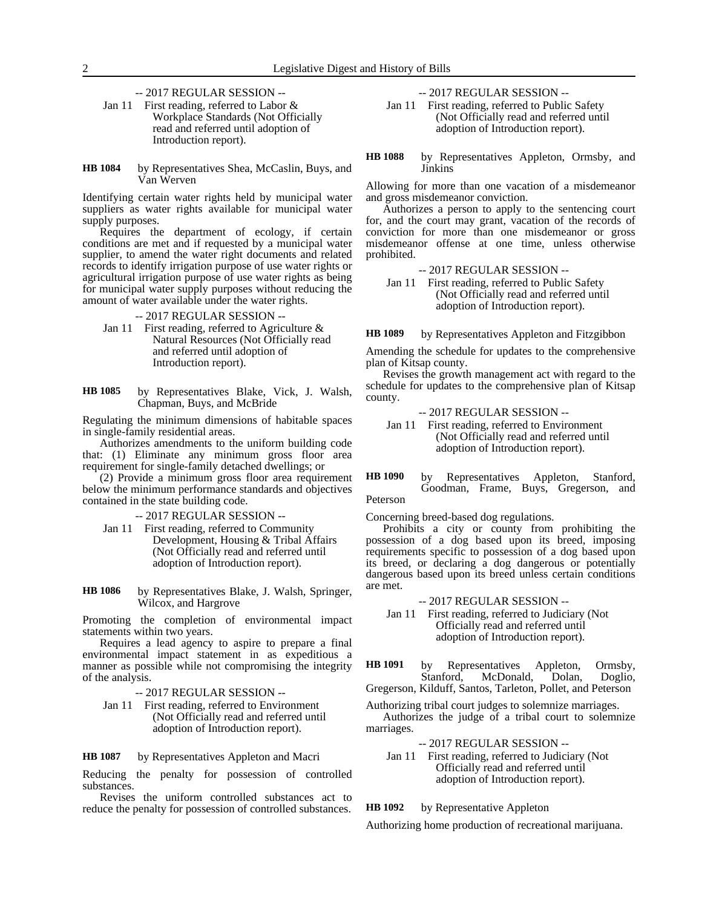-- 2017 REGULAR SESSION --

- Jan 11 First reading, referred to Labor & Workplace Standards (Not Officially read and referred until adoption of Introduction report).
- by Representatives Shea, McCaslin, Buys, and Van Werven **HB 1084**

Identifying certain water rights held by municipal water suppliers as water rights available for municipal water supply purposes.

Requires the department of ecology, if certain conditions are met and if requested by a municipal water supplier, to amend the water right documents and related records to identify irrigation purpose of use water rights or agricultural irrigation purpose of use water rights as being for municipal water supply purposes without reducing the amount of water available under the water rights.

- -- 2017 REGULAR SESSION --
- Jan 11 First reading, referred to Agriculture & Natural Resources (Not Officially read and referred until adoption of Introduction report).
- by Representatives Blake, Vick, J. Walsh, Chapman, Buys, and McBride **HB 1085**

Regulating the minimum dimensions of habitable spaces in single-family residential areas.

Authorizes amendments to the uniform building code that: (1) Eliminate any minimum gross floor area requirement for single-family detached dwellings; or

(2) Provide a minimum gross floor area requirement below the minimum performance standards and objectives contained in the state building code.

-- 2017 REGULAR SESSION --

- Jan 11 First reading, referred to Community Development, Housing & Tribal Affairs (Not Officially read and referred until adoption of Introduction report).
- by Representatives Blake, J. Walsh, Springer, Wilcox, and Hargrove **HB 1086**

Promoting the completion of environmental impact statements within two years.

Requires a lead agency to aspire to prepare a final environmental impact statement in as expeditious a manner as possible while not compromising the integrity of the analysis.

- -- 2017 REGULAR SESSION --
- Jan 11 First reading, referred to Environment (Not Officially read and referred until adoption of Introduction report).

by Representatives Appleton and Macri **HB 1087**

Reducing the penalty for possession of controlled substances.

Revises the uniform controlled substances act to reduce the penalty for possession of controlled substances. -- 2017 REGULAR SESSION --

Jan 11 First reading, referred to Public Safety (Not Officially read and referred until adoption of Introduction report).

by Representatives Appleton, Ormsby, and Jinkins **HB 1088**

Allowing for more than one vacation of a misdemeanor and gross misdemeanor conviction.

Authorizes a person to apply to the sentencing court for, and the court may grant, vacation of the records of conviction for more than one misdemeanor or gross misdemeanor offense at one time, unless otherwise prohibited.

-- 2017 REGULAR SESSION --

Jan 11 First reading, referred to Public Safety (Not Officially read and referred until adoption of Introduction report).

by Representatives Appleton and Fitzgibbon **HB 1089**

Amending the schedule for updates to the comprehensive plan of Kitsap county.

Revises the growth management act with regard to the schedule for updates to the comprehensive plan of Kitsap county.

- -- 2017 REGULAR SESSION --
- Jan 11 First reading, referred to Environment (Not Officially read and referred until adoption of Introduction report).
- by Representatives Appleton, Stanford, Goodman, Frame, Buys, Gregerson, and **HB 1090**

Peterson

Concerning breed-based dog regulations.

Prohibits a city or county from prohibiting the possession of a dog based upon its breed, imposing requirements specific to possession of a dog based upon its breed, or declaring a dog dangerous or potentially dangerous based upon its breed unless certain conditions are met.

- -- 2017 REGULAR SESSION --
- Jan 11 First reading, referred to Judiciary (Not Officially read and referred until adoption of Introduction report).

by Representatives Appleton, Ormsby, Stanford, McDonald, Dolan, Doglio, Gregerson, Kilduff, Santos, Tarleton, Pollet, and Peterson **HB 1091**

Authorizing tribal court judges to solemnize marriages. Authorizes the judge of a tribal court to solemnize marriages.

-- 2017 REGULAR SESSION --

Jan 11 First reading, referred to Judiciary (Not Officially read and referred until adoption of Introduction report).

#### by Representative Appleton **HB 1092**

Authorizing home production of recreational marijuana.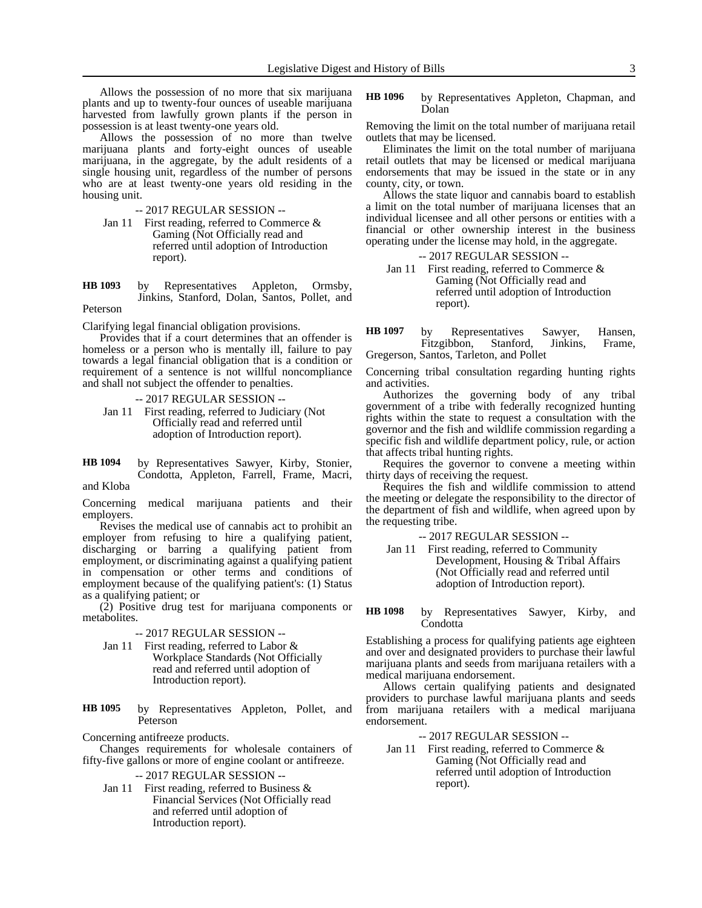Allows the possession of no more that six marijuana plants and up to twenty-four ounces of useable marijuana harvested from lawfully grown plants if the person in possession is at least twenty-one years old.

Allows the possession of no more than twelve marijuana plants and forty-eight ounces of useable marijuana, in the aggregate, by the adult residents of a single housing unit, regardless of the number of persons who are at least twenty-one years old residing in the housing unit.

-- 2017 REGULAR SESSION --

- Jan 11 First reading, referred to Commerce & Gaming (Not Officially read and referred until adoption of Introduction report).
- by Representatives Appleton, Ormsby, Jinkins, Stanford, Dolan, Santos, Pollet, and **HB 1093**

### Peterson

Clarifying legal financial obligation provisions.

Provides that if a court determines that an offender is homeless or a person who is mentally ill, failure to pay towards a legal financial obligation that is a condition or requirement of a sentence is not willful noncompliance and shall not subject the offender to penalties.

-- 2017 REGULAR SESSION --

Jan 11 First reading, referred to Judiciary (Not Officially read and referred until adoption of Introduction report).

by Representatives Sawyer, Kirby, Stonier, Condotta, Appleton, Farrell, Frame, Macri, and Kloba **HB 1094**

Concerning medical marijuana patients and their employers.

Revises the medical use of cannabis act to prohibit an employer from refusing to hire a qualifying patient, discharging or barring a qualifying patient from employment, or discriminating against a qualifying patient in compensation or other terms and conditions of employment because of the qualifying patient's: (1) Status as a qualifying patient; or

(2) Positive drug test for marijuana components or metabolites.

### -- 2017 REGULAR SESSION --

Jan 11 First reading, referred to Labor & Workplace Standards (Not Officially read and referred until adoption of Introduction report).

by Representatives Appleton, Pollet, and Peterson **HB 1095**

Concerning antifreeze products.

Changes requirements for wholesale containers of fifty-five gallons or more of engine coolant or antifreeze.

-- 2017 REGULAR SESSION --

Jan 11 First reading, referred to Business & Financial Services (Not Officially read and referred until adoption of Introduction report).

by Representatives Appleton, Chapman, and Dolan **HB 1096**

Removing the limit on the total number of marijuana retail outlets that may be licensed.

Eliminates the limit on the total number of marijuana retail outlets that may be licensed or medical marijuana endorsements that may be issued in the state or in any county, city, or town.

Allows the state liquor and cannabis board to establish a limit on the total number of marijuana licenses that an individual licensee and all other persons or entities with a financial or other ownership interest in the business operating under the license may hold, in the aggregate.

-- 2017 REGULAR SESSION --

Jan 11 First reading, referred to Commerce & Gaming (Not Officially read and referred until adoption of Introduction report).

by Representatives Sawyer, Hansen, Fitzgibbon, Stanford, Jinkins, Frame, Gregerson, Santos, Tarleton, and Pollet **HB 1097**

Concerning tribal consultation regarding hunting rights and activities.

Authorizes the governing body of any tribal government of a tribe with federally recognized hunting rights within the state to request a consultation with the governor and the fish and wildlife commission regarding a specific fish and wildlife department policy, rule, or action that affects tribal hunting rights.

Requires the governor to convene a meeting within thirty days of receiving the request.

Requires the fish and wildlife commission to attend the meeting or delegate the responsibility to the director of the department of fish and wildlife, when agreed upon by the requesting tribe.

-- 2017 REGULAR SESSION --

Jan 11 First reading, referred to Community Development, Housing & Tribal Affairs (Not Officially read and referred until adoption of Introduction report).

by Representatives Sawyer, Kirby, and **Condotta HB 1098**

Establishing a process for qualifying patients age eighteen and over and designated providers to purchase their lawful marijuana plants and seeds from marijuana retailers with a medical marijuana endorsement.

Allows certain qualifying patients and designated providers to purchase lawful marijuana plants and seeds from marijuana retailers with a medical marijuana endorsement.

-- 2017 REGULAR SESSION --

Jan 11 First reading, referred to Commerce & Gaming (Not Officially read and referred until adoption of Introduction report).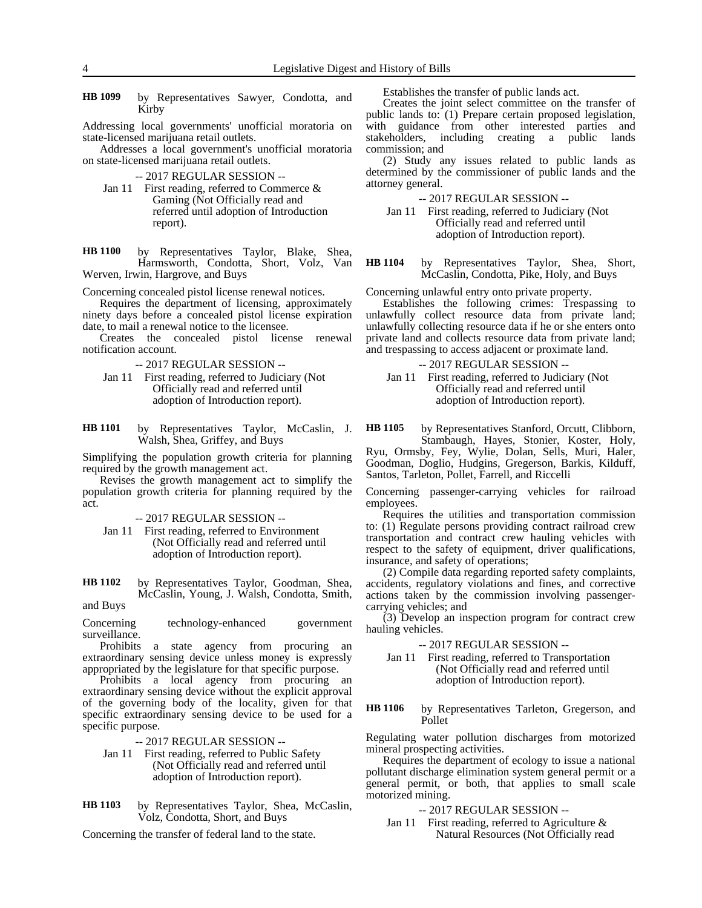by Representatives Sawyer, Condotta, and Kirby **HB 1099**

Addressing local governments' unofficial moratoria on state-licensed marijuana retail outlets.

Addresses a local government's unofficial moratoria on state-licensed marijuana retail outlets.

-- 2017 REGULAR SESSION --

Jan 11 First reading, referred to Commerce & Gaming (Not Officially read and referred until adoption of Introduction report).

by Representatives Taylor, Blake, Shea, Harmsworth, Condotta, Short, Volz, Van Werven, Irwin, Hargrove, and Buys **HB 1100**

Concerning concealed pistol license renewal notices.

Requires the department of licensing, approximately ninety days before a concealed pistol license expiration date, to mail a renewal notice to the licensee.

Creates the concealed pistol license renewal notification account.

-- 2017 REGULAR SESSION --

- Jan 11 First reading, referred to Judiciary (Not Officially read and referred until adoption of Introduction report).
- by Representatives Taylor, McCaslin, J. Walsh, Shea, Griffey, and Buys **HB 1101**

Simplifying the population growth criteria for planning required by the growth management act.

Revises the growth management act to simplify the population growth criteria for planning required by the act.

-- 2017 REGULAR SESSION --

Jan 11 First reading, referred to Environment (Not Officially read and referred until adoption of Introduction report).

by Representatives Taylor, Goodman, Shea, McCaslin, Young, J. Walsh, Condotta, Smith, and Buys **HB 1102**

Concerning technology-enhanced government surveillance.

Prohibits a state agency from procuring an extraordinary sensing device unless money is expressly appropriated by the legislature for that specific purpose.

Prohibits a local agency from procuring an extraordinary sensing device without the explicit approval of the governing body of the locality, given for that specific extraordinary sensing device to be used for a specific purpose.

-- 2017 REGULAR SESSION --

- Jan 11 First reading, referred to Public Safety (Not Officially read and referred until adoption of Introduction report).
- by Representatives Taylor, Shea, McCaslin, Volz, Condotta, Short, and Buys **HB 1103**

Concerning the transfer of federal land to the state.

Establishes the transfer of public lands act.

Creates the joint select committee on the transfer of public lands to: (1) Prepare certain proposed legislation, with guidance from other interested parties and stakeholders, including creating a public lands commission; and

(2) Study any issues related to public lands as determined by the commissioner of public lands and the attorney general.

-- 2017 REGULAR SESSION --

Jan 11 First reading, referred to Judiciary (Not Officially read and referred until adoption of Introduction report).

by Representatives Taylor, Shea, Short, McCaslin, Condotta, Pike, Holy, and Buys **HB 1104**

Concerning unlawful entry onto private property.

Establishes the following crimes: Trespassing to unlawfully collect resource data from private land; unlawfully collecting resource data if he or she enters onto private land and collects resource data from private land; and trespassing to access adjacent or proximate land.

-- 2017 REGULAR SESSION --

Jan 11 First reading, referred to Judiciary (Not Officially read and referred until adoption of Introduction report).

by Representatives Stanford, Orcutt, Clibborn, Stambaugh, Hayes, Stonier, Koster, Holy, **HB 1105**

Ryu, Ormsby, Fey, Wylie, Dolan, Sells, Muri, Haler, Goodman, Doglio, Hudgins, Gregerson, Barkis, Kilduff, Santos, Tarleton, Pollet, Farrell, and Riccelli

Concerning passenger-carrying vehicles for railroad employees.

Requires the utilities and transportation commission to: (1) Regulate persons providing contract railroad crew transportation and contract crew hauling vehicles with respect to the safety of equipment, driver qualifications, insurance, and safety of operations;

(2) Compile data regarding reported safety complaints, accidents, regulatory violations and fines, and corrective actions taken by the commission involving passengercarrying vehicles; and

(3) Develop an inspection program for contract crew hauling vehicles.

-- 2017 REGULAR SESSION --

Jan 11 First reading, referred to Transportation (Not Officially read and referred until adoption of Introduction report).

by Representatives Tarleton, Gregerson, and Pollet **HB 1106**

Regulating water pollution discharges from motorized mineral prospecting activities.

Requires the department of ecology to issue a national pollutant discharge elimination system general permit or a general permit, or both, that applies to small scale motorized mining.

-- 2017 REGULAR SESSION --

Jan 11 First reading, referred to Agriculture & Natural Resources (Not Officially read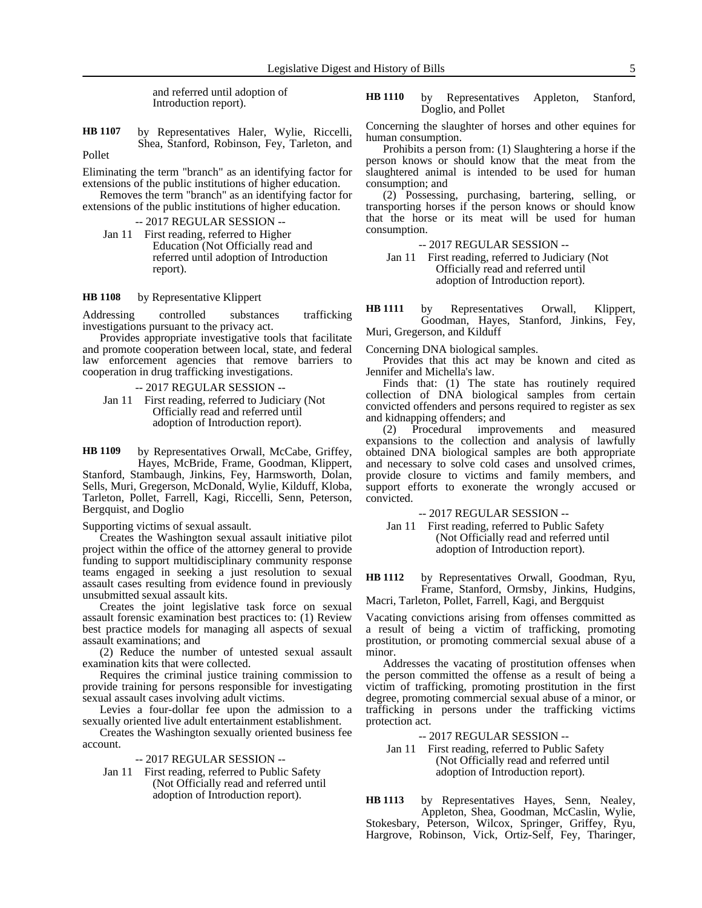and referred until adoption of Introduction report).

by Representatives Haler, Wylie, Riccelli, Shea, Stanford, Robinson, Fey, Tarleton, and Pollet **HB 1107**

Eliminating the term "branch" as an identifying factor for extensions of the public institutions of higher education.

Removes the term "branch" as an identifying factor for extensions of the public institutions of higher education.

-- 2017 REGULAR SESSION --

Jan 11 First reading, referred to Higher Education (Not Officially read and referred until adoption of Introduction report).

by Representative Klippert **HB 1108**

Addressing controlled substances trafficking investigations pursuant to the privacy act.

Provides appropriate investigative tools that facilitate and promote cooperation between local, state, and federal law enforcement agencies that remove barriers to cooperation in drug trafficking investigations.

-- 2017 REGULAR SESSION --

Jan 11 First reading, referred to Judiciary (Not Officially read and referred until adoption of Introduction report).

by Representatives Orwall, McCabe, Griffey, Hayes, McBride, Frame, Goodman, Klippert, **HB 1109**

Stanford, Stambaugh, Jinkins, Fey, Harmsworth, Dolan, Sells, Muri, Gregerson, McDonald, Wylie, Kilduff, Kloba, Tarleton, Pollet, Farrell, Kagi, Riccelli, Senn, Peterson, Bergquist, and Doglio

Supporting victims of sexual assault.

Creates the Washington sexual assault initiative pilot project within the office of the attorney general to provide funding to support multidisciplinary community response teams engaged in seeking a just resolution to sexual assault cases resulting from evidence found in previously unsubmitted sexual assault kits.

Creates the joint legislative task force on sexual assault forensic examination best practices to: (1) Review best practice models for managing all aspects of sexual assault examinations; and

(2) Reduce the number of untested sexual assault examination kits that were collected.

Requires the criminal justice training commission to provide training for persons responsible for investigating sexual assault cases involving adult victims.

Levies a four-dollar fee upon the admission to a sexually oriented live adult entertainment establishment.

Creates the Washington sexually oriented business fee account.

-- 2017 REGULAR SESSION --

Jan 11 First reading, referred to Public Safety (Not Officially read and referred until adoption of Introduction report).

by Representatives Appleton, Stanford, Doglio, and Pollet **HB 1110**

Concerning the slaughter of horses and other equines for human consumption.

Prohibits a person from: (1) Slaughtering a horse if the person knows or should know that the meat from the slaughtered animal is intended to be used for human consumption; and

(2) Possessing, purchasing, bartering, selling, or transporting horses if the person knows or should know that the horse or its meat will be used for human consumption.

-- 2017 REGULAR SESSION --

Jan 11 First reading, referred to Judiciary (Not Officially read and referred until adoption of Introduction report).

by Representatives Orwall, Klippert, Goodman, Hayes, Stanford, Jinkins, Fey, **HB 1111**

Muri, Gregerson, and Kilduff

Concerning DNA biological samples.

Provides that this act may be known and cited as Jennifer and Michella's law.

Finds that: (1) The state has routinely required collection of DNA biological samples from certain convicted offenders and persons required to register as sex and kidnapping offenders; and<br>(2) Procedural improv

(2) Procedural improvements and measured expansions to the collection and analysis of lawfully obtained DNA biological samples are both appropriate and necessary to solve cold cases and unsolved crimes, provide closure to victims and family members, and support efforts to exonerate the wrongly accused or convicted.

-- 2017 REGULAR SESSION --

Jan 11 First reading, referred to Public Safety (Not Officially read and referred until adoption of Introduction report).

by Representatives Orwall, Goodman, Ryu, Frame, Stanford, Ormsby, Jinkins, Hudgins, **HB 1112**

Macri, Tarleton, Pollet, Farrell, Kagi, and Bergquist

Vacating convictions arising from offenses committed as a result of being a victim of trafficking, promoting prostitution, or promoting commercial sexual abuse of a minor.

Addresses the vacating of prostitution offenses when the person committed the offense as a result of being a victim of trafficking, promoting prostitution in the first degree, promoting commercial sexual abuse of a minor, or trafficking in persons under the trafficking victims protection act.

-- 2017 REGULAR SESSION --

Jan 11 First reading, referred to Public Safety (Not Officially read and referred until adoption of Introduction report).

by Representatives Hayes, Senn, Nealey, Appleton, Shea, Goodman, McCaslin, Wylie, Stokesbary, Peterson, Wilcox, Springer, Griffey, Ryu, Hargrove, Robinson, Vick, Ortiz-Self, Fey, Tharinger, **HB 1113**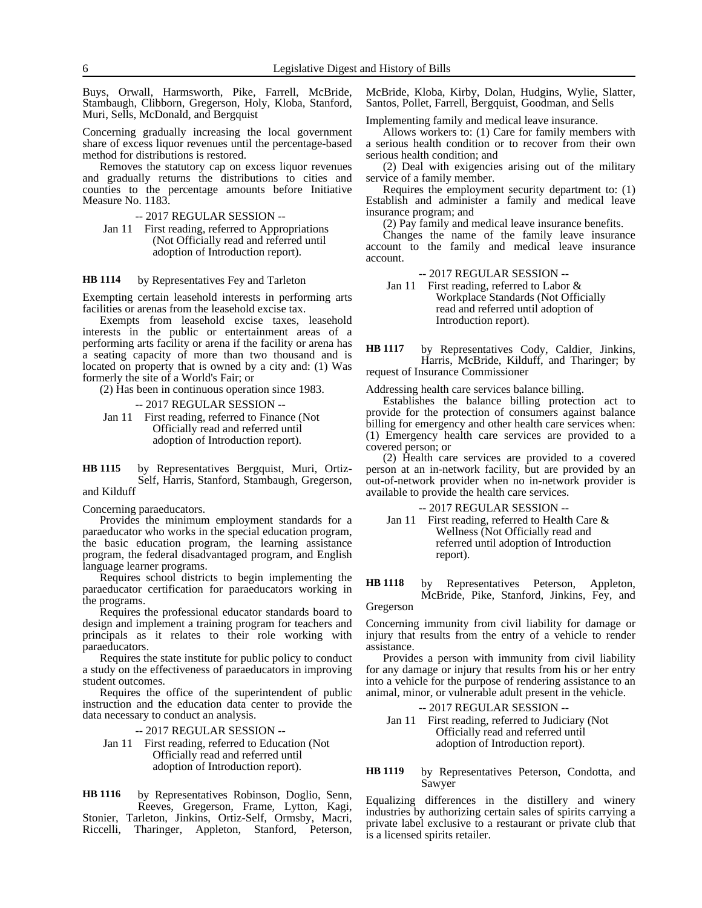Buys, Orwall, Harmsworth, Pike, Farrell, McBride, Stambaugh, Clibborn, Gregerson, Holy, Kloba, Stanford, Muri, Sells, McDonald, and Bergquist

Concerning gradually increasing the local government share of excess liquor revenues until the percentage-based method for distributions is restored.

Removes the statutory cap on excess liquor revenues and gradually returns the distributions to cities and counties to the percentage amounts before Initiative Measure No. 1183.

-- 2017 REGULAR SESSION --

Jan 11 First reading, referred to Appropriations (Not Officially read and referred until adoption of Introduction report).

#### by Representatives Fey and Tarleton **HB 1114**

Exempting certain leasehold interests in performing arts facilities or arenas from the leasehold excise tax.

Exempts from leasehold excise taxes, leasehold interests in the public or entertainment areas of a performing arts facility or arena if the facility or arena has a seating capacity of more than two thousand and is located on property that is owned by a city and: (1) Was formerly the site of a World's Fair; or

(2) Has been in continuous operation since 1983.

-- 2017 REGULAR SESSION --

Jan 11 First reading, referred to Finance (Not Officially read and referred until adoption of Introduction report).

by Representatives Bergquist, Muri, Ortiz-Self, Harris, Stanford, Stambaugh, Gregerson, and Kilduff **HB 1115**

Concerning paraeducators.

Provides the minimum employment standards for a paraeducator who works in the special education program, the basic education program, the learning assistance program, the federal disadvantaged program, and English language learner programs.

Requires school districts to begin implementing the paraeducator certification for paraeducators working in the programs.

Requires the professional educator standards board to design and implement a training program for teachers and principals as it relates to their role working with paraeducators.

Requires the state institute for public policy to conduct a study on the effectiveness of paraeducators in improving student outcomes.

Requires the office of the superintendent of public instruction and the education data center to provide the data necessary to conduct an analysis.

-- 2017 REGULAR SESSION --

Jan 11 First reading, referred to Education (Not Officially read and referred until adoption of Introduction report).

by Representatives Robinson, Doglio, Senn, Reeves, Gregerson, Frame, Lytton, Kagi, Stonier, Tarleton, Jinkins, Ortiz-Self, Ormsby, Macri, Riccelli, Tharinger, Appleton, Stanford, Peterson, **HB 1116**

McBride, Kloba, Kirby, Dolan, Hudgins, Wylie, Slatter, Santos, Pollet, Farrell, Bergquist, Goodman, and Sells

Implementing family and medical leave insurance.

Allows workers to: (1) Care for family members with a serious health condition or to recover from their own serious health condition; and

(2) Deal with exigencies arising out of the military service of a family member.

Requires the employment security department to: (1) Establish and administer a family and medical leave insurance program; and

(2) Pay family and medical leave insurance benefits.

Changes the name of the family leave insurance account to the family and medical leave insurance account.

-- 2017 REGULAR SESSION --

Jan 11 First reading, referred to Labor & Workplace Standards (Not Officially read and referred until adoption of Introduction report).

by Representatives Cody, Caldier, Jinkins, Harris, McBride, Kilduff, and Tharinger; by request of Insurance Commissioner **HB 1117**

Addressing health care services balance billing.

Establishes the balance billing protection act to provide for the protection of consumers against balance billing for emergency and other health care services when: (1) Emergency health care services are provided to a covered person; or

(2) Health care services are provided to a covered person at an in-network facility, but are provided by an out-of-network provider when no in-network provider is available to provide the health care services.

-- 2017 REGULAR SESSION --

Jan 11 First reading, referred to Health Care & Wellness (Not Officially read and referred until adoption of Introduction report).

by Representatives Peterson, Appleton, McBride, Pike, Stanford, Jinkins, Fey, and **HB 1118**

Gregerson

Concerning immunity from civil liability for damage or injury that results from the entry of a vehicle to render assistance.

Provides a person with immunity from civil liability for any damage or injury that results from his or her entry into a vehicle for the purpose of rendering assistance to an animal, minor, or vulnerable adult present in the vehicle.

-- 2017 REGULAR SESSION --

Jan 11 First reading, referred to Judiciary (Not Officially read and referred until adoption of Introduction report).

by Representatives Peterson, Condotta, and Sawyer **HB 1119**

Equalizing differences in the distillery and winery industries by authorizing certain sales of spirits carrying a private label exclusive to a restaurant or private club that is a licensed spirits retailer.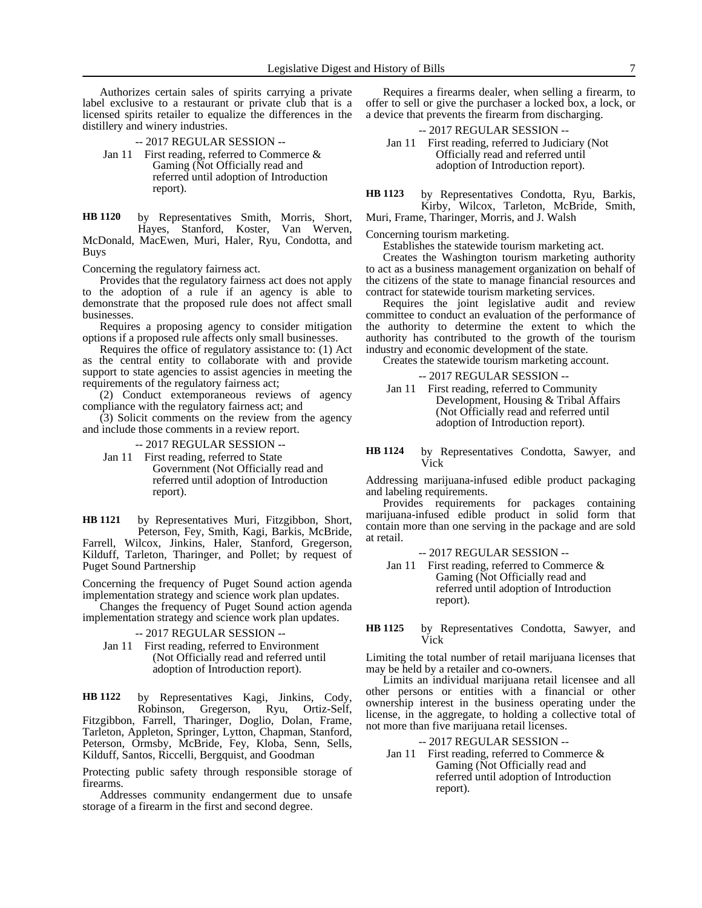Authorizes certain sales of spirits carrying a private label exclusive to a restaurant or private club that is a licensed spirits retailer to equalize the differences in the distillery and winery industries.

-- 2017 REGULAR SESSION --

Jan 11 First reading, referred to Commerce & Gaming (Not Officially read and referred until adoption of Introduction report).

by Representatives Smith, Morris, Short, Hayes, Stanford, Koster, Van Werven, McDonald, MacEwen, Muri, Haler, Ryu, Condotta, and Buys **HB 1120**

Concerning the regulatory fairness act.

Provides that the regulatory fairness act does not apply to the adoption of a rule if an agency is able to demonstrate that the proposed rule does not affect small businesses.

Requires a proposing agency to consider mitigation options if a proposed rule affects only small businesses.

Requires the office of regulatory assistance to: (1) Act as the central entity to collaborate with and provide support to state agencies to assist agencies in meeting the requirements of the regulatory fairness act;

(2) Conduct extemporaneous reviews of agency compliance with the regulatory fairness act; and

(3) Solicit comments on the review from the agency and include those comments in a review report.

-- 2017 REGULAR SESSION --

Jan 11 First reading, referred to State Government (Not Officially read and referred until adoption of Introduction report).

by Representatives Muri, Fitzgibbon, Short, Peterson, Fey, Smith, Kagi, Barkis, McBride, Farrell, Wilcox, Jinkins, Haler, Stanford, Gregerson, Kilduff, Tarleton, Tharinger, and Pollet; by request of Puget Sound Partnership **HB 1121**

Concerning the frequency of Puget Sound action agenda implementation strategy and science work plan updates.

Changes the frequency of Puget Sound action agenda implementation strategy and science work plan updates.

-- 2017 REGULAR SESSION --

Jan 11 First reading, referred to Environment (Not Officially read and referred until adoption of Introduction report).

by Representatives Kagi, Jinkins, Cody, Robinson, Gregerson, Ryu, Ortiz-Self, Fitzgibbon, Farrell, Tharinger, Doglio, Dolan, Frame, Tarleton, Appleton, Springer, Lytton, Chapman, Stanford, Peterson, Ormsby, McBride, Fey, Kloba, Senn, Sells, Kilduff, Santos, Riccelli, Bergquist, and Goodman **HB 1122**

Protecting public safety through responsible storage of firearms.

Addresses community endangerment due to unsafe storage of a firearm in the first and second degree.

Requires a firearms dealer, when selling a firearm, to offer to sell or give the purchaser a locked box, a lock, or a device that prevents the firearm from discharging.

### -- 2017 REGULAR SESSION -- Jan 11 First reading, referred to Judiciary (Not Officially read and referred until adoption of Introduction report).

by Representatives Condotta, Ryu, Barkis, Kirby, Wilcox, Tarleton, McBride, Smith, **HB 1123**

Muri, Frame, Tharinger, Morris, and J. Walsh

Concerning tourism marketing.

Establishes the statewide tourism marketing act.

Creates the Washington tourism marketing authority to act as a business management organization on behalf of the citizens of the state to manage financial resources and contract for statewide tourism marketing services.

Requires the joint legislative audit and review committee to conduct an evaluation of the performance of the authority to determine the extent to which the authority has contributed to the growth of the tourism industry and economic development of the state.

Creates the statewide tourism marketing account.

-- 2017 REGULAR SESSION --

Jan 11 First reading, referred to Community Development, Housing & Tribal Affairs (Not Officially read and referred until adoption of Introduction report).

by Representatives Condotta, Sawyer, and Vick **HB 1124**

Addressing marijuana-infused edible product packaging and labeling requirements.

Provides requirements for packages containing marijuana-infused edible product in solid form that contain more than one serving in the package and are sold at retail.

-- 2017 REGULAR SESSION --

Jan 11 First reading, referred to Commerce & Gaming (Not Officially read and referred until adoption of Introduction report).

### by Representatives Condotta, Sawyer, and Vick **HB 1125**

Limiting the total number of retail marijuana licenses that may be held by a retailer and co-owners.

Limits an individual marijuana retail licensee and all other persons or entities with a financial or other ownership interest in the business operating under the license, in the aggregate, to holding a collective total of not more than five marijuana retail licenses.

-- 2017 REGULAR SESSION --

Jan 11 First reading, referred to Commerce & Gaming (Not Officially read and referred until adoption of Introduction report).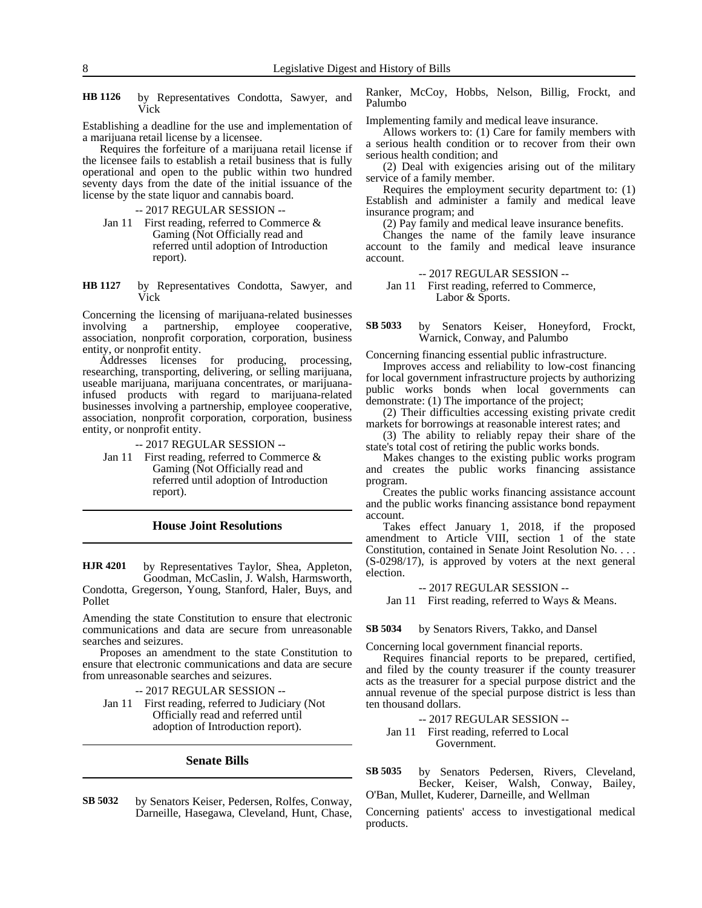by Representatives Condotta, Sawyer, and Vick **HB 1126**

Establishing a deadline for the use and implementation of a marijuana retail license by a licensee.

Requires the forfeiture of a marijuana retail license if the licensee fails to establish a retail business that is fully operational and open to the public within two hundred seventy days from the date of the initial issuance of the license by the state liquor and cannabis board.

-- 2017 REGULAR SESSION --

- Jan 11 First reading, referred to Commerce & Gaming (Not Officially read and referred until adoption of Introduction report).
- by Representatives Condotta, Sawyer, and Vick **HB 1127**

Concerning the licensing of marijuana-related businesses<br>involving a partnership, employee cooperative, involving a partnership, employee cooperative, association, nonprofit corporation, corporation, business entity, or nonprofit entity.

Addresses licenses for producing, processing, researching, transporting, delivering, or selling marijuana, useable marijuana, marijuana concentrates, or marijuanainfused products with regard to marijuana-related businesses involving a partnership, employee cooperative, association, nonprofit corporation, corporation, business entity, or nonprofit entity.

-- 2017 REGULAR SESSION --

Jan 11 First reading, referred to Commerce & Gaming (Not Officially read and referred until adoption of Introduction report).

### **House Joint Resolutions**

by Representatives Taylor, Shea, Appleton, Goodman, McCaslin, J. Walsh, Harmsworth, Condotta, Gregerson, Young, Stanford, Haler, Buys, and Pollet **HJR 4201**

Amending the state Constitution to ensure that electronic communications and data are secure from unreasonable searches and seizures.

Proposes an amendment to the state Constitution to ensure that electronic communications and data are secure from unreasonable searches and seizures.

-- 2017 REGULAR SESSION --

Jan 11 First reading, referred to Judiciary (Not Officially read and referred until adoption of Introduction report).

### **Senate Bills**

by Senators Keiser, Pedersen, Rolfes, Conway, Darneille, Hasegawa, Cleveland, Hunt, Chase, **SB 5032**

Ranker, McCoy, Hobbs, Nelson, Billig, Frockt, and Palumbo

Implementing family and medical leave insurance.

Allows workers to: (1) Care for family members with a serious health condition or to recover from their own serious health condition; and

(2) Deal with exigencies arising out of the military service of a family member.

Requires the employment security department to: (1) Establish and administer a family and medical leave insurance program; and

(2) Pay family and medical leave insurance benefits.

Changes the name of the family leave insurance account to the family and medical leave insurance account.

- -- 2017 REGULAR SESSION --
- Jan 11 First reading, referred to Commerce, Labor & Sports.

by Senators Keiser, Honeyford, Frockt, Warnick, Conway, and Palumbo **SB 5033**

Concerning financing essential public infrastructure.

Improves access and reliability to low-cost financing for local government infrastructure projects by authorizing public works bonds when local governments can demonstrate: (1) The importance of the project;

(2) Their difficulties accessing existing private credit markets for borrowings at reasonable interest rates; and

(3) The ability to reliably repay their share of the state's total cost of retiring the public works bonds.

Makes changes to the existing public works program and creates the public works financing assistance program.

Creates the public works financing assistance account and the public works financing assistance bond repayment account.

Takes effect January 1, 2018, if the proposed amendment to Article VIII, section 1 of the state Constitution, contained in Senate Joint Resolution No. . . . (S-0298/17), is approved by voters at the next general election.

-- 2017 REGULAR SESSION --

Jan 11 First reading, referred to Ways & Means.

by Senators Rivers, Takko, and Dansel **SB 5034**

Concerning local government financial reports.

Requires financial reports to be prepared, certified, and filed by the county treasurer if the county treasurer acts as the treasurer for a special purpose district and the annual revenue of the special purpose district is less than ten thousand dollars.

-- 2017 REGULAR SESSION --

Jan 11 First reading, referred to Local Government.

by Senators Pedersen, Rivers, Cleveland, Becker, Keiser, Walsh, Conway, Bailey, O'Ban, Mullet, Kuderer, Darneille, and Wellman **SB 5035**

Concerning patients' access to investigational medical products.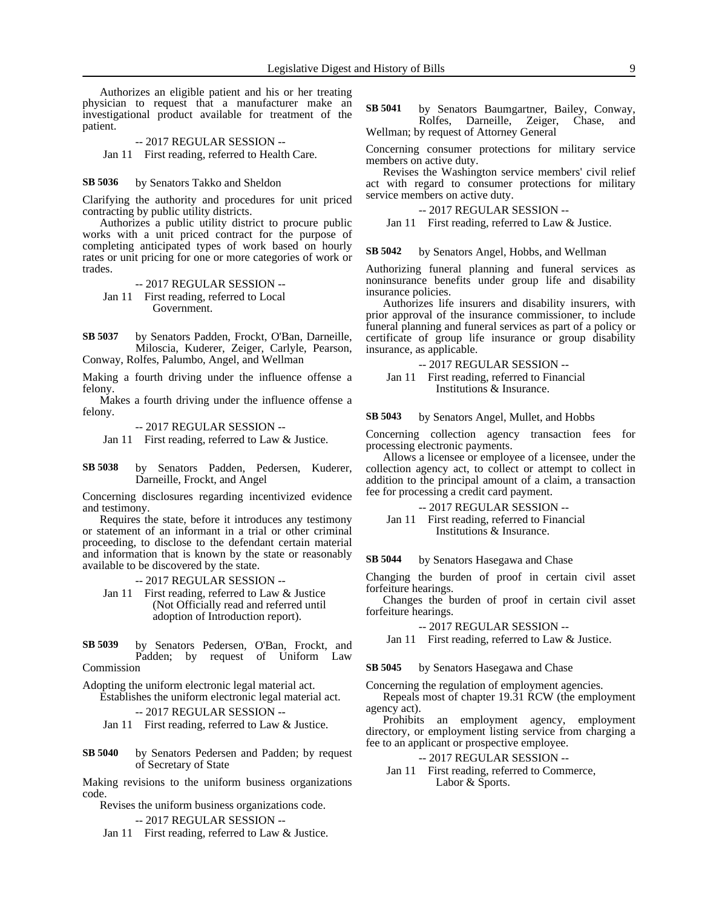Authorizes an eligible patient and his or her treating physician to request that a manufacturer make an investigational product available for treatment of the patient.

-- 2017 REGULAR SESSION --

Jan 11 First reading, referred to Health Care.

#### by Senators Takko and Sheldon **SB 5036**

Clarifying the authority and procedures for unit priced contracting by public utility districts.

Authorizes a public utility district to procure public works with a unit priced contract for the purpose of completing anticipated types of work based on hourly rates or unit pricing for one or more categories of work or trades.

-- 2017 REGULAR SESSION -- Jan 11 First reading, referred to Local Government.

by Senators Padden, Frockt, O'Ban, Darneille, Miloscia, Kuderer, Zeiger, Carlyle, Pearson, Conway, Rolfes, Palumbo, Angel, and Wellman **SB 5037**

Making a fourth driving under the influence offense a felony.

Makes a fourth driving under the influence offense a felony.

-- 2017 REGULAR SESSION --

Jan 11 First reading, referred to Law & Justice.

by Senators Padden, Pedersen, Kuderer, Darneille, Frockt, and Angel **SB 5038**

Concerning disclosures regarding incentivized evidence and testimony.

Requires the state, before it introduces any testimony or statement of an informant in a trial or other criminal proceeding, to disclose to the defendant certain material and information that is known by the state or reasonably available to be discovered by the state.

-- 2017 REGULAR SESSION --

Jan 11 First reading, referred to Law & Justice (Not Officially read and referred until adoption of Introduction report).

by Senators Pedersen, O'Ban, Frockt, and Padden; by request of Uniform Law Commission **SB 5039**

Adopting the uniform electronic legal material act. Establishes the uniform electronic legal material act.

-- 2017 REGULAR SESSION --

Jan 11 First reading, referred to Law & Justice.

by Senators Pedersen and Padden; by request of Secretary of State **SB 5040**

Making revisions to the uniform business organizations code.

Revises the uniform business organizations code.

-- 2017 REGULAR SESSION --

Jan 11 First reading, referred to Law & Justice.

by Senators Baumgartner, Bailey, Conway, Rolfes, Darneille, Zeiger, Chase, and Wellman; by request of Attorney General **SB 5041**

Concerning consumer protections for military service members on active duty.

Revises the Washington service members' civil relief act with regard to consumer protections for military service members on active duty.

-- 2017 REGULAR SESSION --

Jan 11 First reading, referred to Law & Justice.

by Senators Angel, Hobbs, and Wellman **SB 5042**

Authorizing funeral planning and funeral services as noninsurance benefits under group life and disability insurance policies.

Authorizes life insurers and disability insurers, with prior approval of the insurance commissioner, to include funeral planning and funeral services as part of a policy or certificate of group life insurance or group disability insurance, as applicable.

-- 2017 REGULAR SESSION -- Jan 11 First reading, referred to Financial Institutions & Insurance.

by Senators Angel, Mullet, and Hobbs **SB 5043**

Concerning collection agency transaction fees for processing electronic payments.

Allows a licensee or employee of a licensee, under the collection agency act, to collect or attempt to collect in addition to the principal amount of a claim, a transaction fee for processing a credit card payment.

-- 2017 REGULAR SESSION --

Jan 11 First reading, referred to Financial Institutions & Insurance.

by Senators Hasegawa and Chase **SB 5044**

Changing the burden of proof in certain civil asset forfeiture hearings.

Changes the burden of proof in certain civil asset forfeiture hearings.

-- 2017 REGULAR SESSION --

Jan 11 First reading, referred to Law & Justice.

by Senators Hasegawa and Chase **SB 5045**

Concerning the regulation of employment agencies.

Repeals most of chapter 19.31 RCW (the employment agency act).

Prohibits an employment agency, employment directory, or employment listing service from charging a fee to an applicant or prospective employee.

-- 2017 REGULAR SESSION --

Jan 11 First reading, referred to Commerce, Labor & Sports.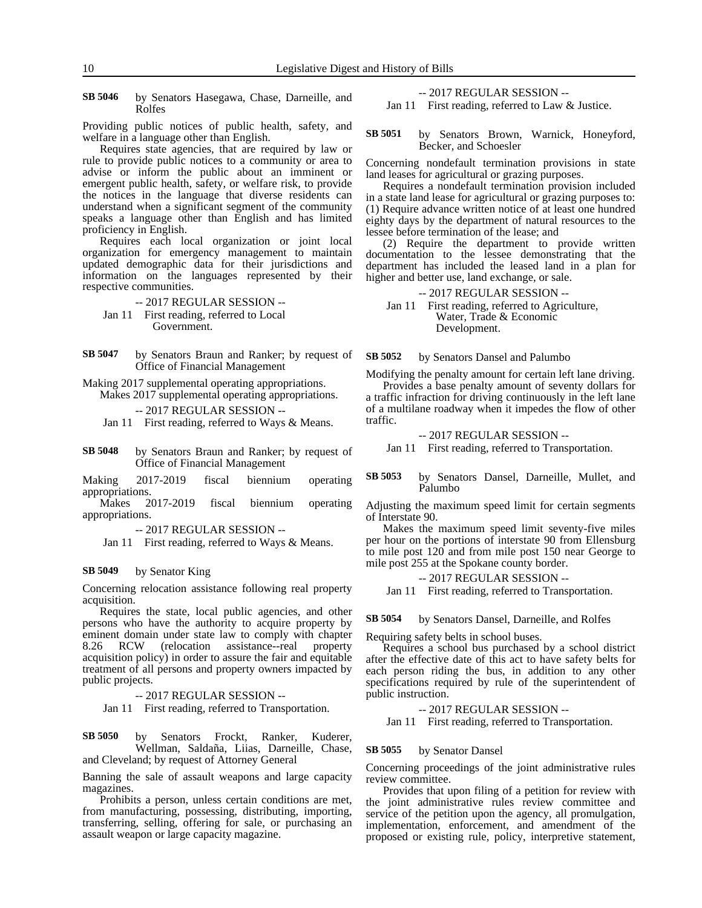by Senators Hasegawa, Chase, Darneille, and Rolfes **SB 5046**

Providing public notices of public health, safety, and welfare in a language other than English.

Requires state agencies, that are required by law or rule to provide public notices to a community or area to advise or inform the public about an imminent or emergent public health, safety, or welfare risk, to provide the notices in the language that diverse residents can understand when a significant segment of the community speaks a language other than English and has limited proficiency in English.

Requires each local organization or joint local organization for emergency management to maintain updated demographic data for their jurisdictions and information on the languages represented by their respective communities.

-- 2017 REGULAR SESSION --

Jan 11 First reading, referred to Local Government.

by Senators Braun and Ranker; by request of Office of Financial Management **SB 5047**

Making 2017 supplemental operating appropriations.

Makes 2017 supplemental operating appropriations. -- 2017 REGULAR SESSION --

Jan 11 First reading, referred to Ways & Means.

by Senators Braun and Ranker; by request of Office of Financial Management **SB 5048**

Making 2017-2019 fiscal biennium operating appropriations.

Makes 2017-2019 fiscal biennium operating appropriations.

-- 2017 REGULAR SESSION --

Jan 11 First reading, referred to Ways & Means.

#### by Senator King **SB 5049**

Concerning relocation assistance following real property acquisition.

Requires the state, local public agencies, and other persons who have the authority to acquire property by eminent domain under state law to comply with chapter 8.26 RCW (relocation assistance--real property acquisition policy) in order to assure the fair and equitable treatment of all persons and property owners impacted by public projects.

-- 2017 REGULAR SESSION --

Jan 11 First reading, referred to Transportation.

by Senators Frockt, Ranker, Kuderer, Wellman, Saldaña, Liias, Darneille, Chase, and Cleveland; by request of Attorney General **SB 5050**

Banning the sale of assault weapons and large capacity magazines.

Prohibits a person, unless certain conditions are met, from manufacturing, possessing, distributing, importing, transferring, selling, offering for sale, or purchasing an assault weapon or large capacity magazine.

-- 2017 REGULAR SESSION --

Jan 11 First reading, referred to Law & Justice.

by Senators Brown, Warnick, Honeyford, Becker, and Schoesler **SB 5051**

Concerning nondefault termination provisions in state land leases for agricultural or grazing purposes.

Requires a nondefault termination provision included in a state land lease for agricultural or grazing purposes to: (1) Require advance written notice of at least one hundred eighty days by the department of natural resources to the lessee before termination of the lease; and

(2) Require the department to provide written documentation to the lessee demonstrating that the department has included the leased land in a plan for higher and better use, land exchange, or sale.

-- 2017 REGULAR SESSION --

Jan 11 First reading, referred to Agriculture, Water, Trade & Economic Development.

by Senators Dansel and Palumbo **SB 5052**

Modifying the penalty amount for certain left lane driving.

Provides a base penalty amount of seventy dollars for a traffic infraction for driving continuously in the left lane of a multilane roadway when it impedes the flow of other traffic.

-- 2017 REGULAR SESSION --

Jan 11 First reading, referred to Transportation.

by Senators Dansel, Darneille, Mullet, and Palumbo **SB 5053**

Adjusting the maximum speed limit for certain segments of Interstate 90.

Makes the maximum speed limit seventy-five miles per hour on the portions of interstate 90 from Ellensburg to mile post 120 and from mile post 150 near George to mile post 255 at the Spokane county border.

-- 2017 REGULAR SESSION --

Jan 11 First reading, referred to Transportation.

by Senators Dansel, Darneille, and Rolfes **SB 5054**

Requiring safety belts in school buses.

Requires a school bus purchased by a school district after the effective date of this act to have safety belts for each person riding the bus, in addition to any other specifications required by rule of the superintendent of public instruction.

### -- 2017 REGULAR SESSION --

Jan 11 First reading, referred to Transportation.

#### by Senator Dansel **SB 5055**

Concerning proceedings of the joint administrative rules review committee.

Provides that upon filing of a petition for review with the joint administrative rules review committee and service of the petition upon the agency, all promulgation, implementation, enforcement, and amendment of the proposed or existing rule, policy, interpretive statement,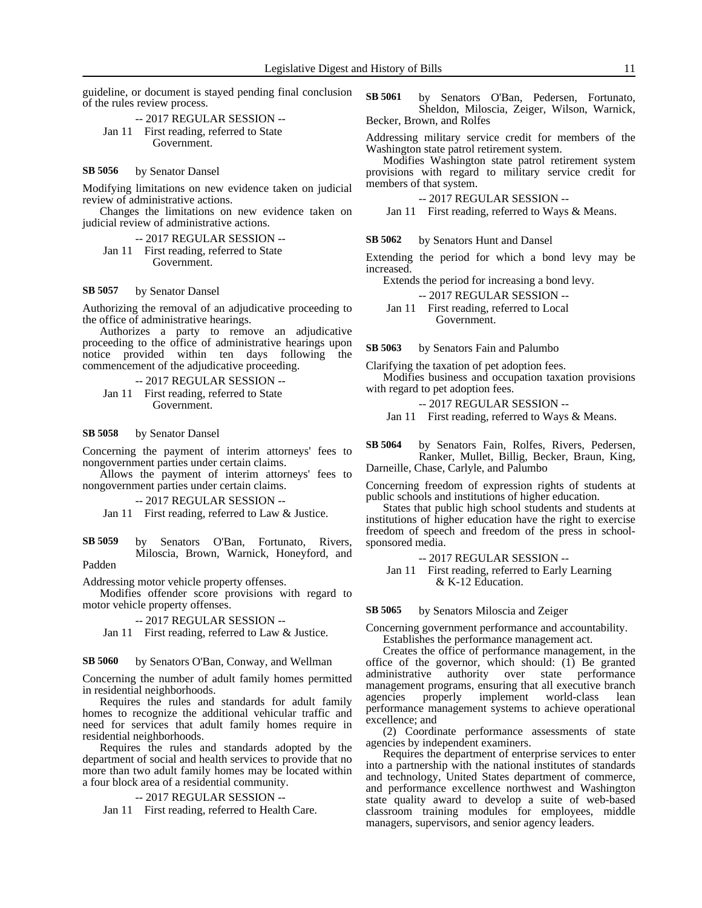guideline, or document is stayed pending final conclusion of the rules review process.

-- 2017 REGULAR SESSION -- Jan 11 First reading, referred to State Government.

#### by Senator Dansel **SB 5056**

Modifying limitations on new evidence taken on judicial review of administrative actions.

Changes the limitations on new evidence taken on judicial review of administrative actions.

-- 2017 REGULAR SESSION -- Jan 11 First reading, referred to State

Government.

#### by Senator Dansel **SB 5057**

Authorizing the removal of an adjudicative proceeding to the office of administrative hearings.

Authorizes a party to remove an adjudicative proceeding to the office of administrative hearings upon notice provided within ten days following the commencement of the adjudicative proceeding.

-- 2017 REGULAR SESSION --

Jan 11 First reading, referred to State Government.

#### by Senator Dansel **SB 5058**

Concerning the payment of interim attorneys' fees to nongovernment parties under certain claims.

Allows the payment of interim attorneys' fees to nongovernment parties under certain claims.

-- 2017 REGULAR SESSION --

Jan 11 First reading, referred to Law & Justice.

by Senators O'Ban, Fortunato, Rivers, Miloscia, Brown, Warnick, Honeyford, and Padden **SB 5059**

Addressing motor vehicle property offenses.

Modifies offender score provisions with regard to motor vehicle property offenses.

-- 2017 REGULAR SESSION --

Jan 11 First reading, referred to Law & Justice.

by Senators O'Ban, Conway, and Wellman **SB 5060**

Concerning the number of adult family homes permitted in residential neighborhoods.

Requires the rules and standards for adult family homes to recognize the additional vehicular traffic and need for services that adult family homes require in residential neighborhoods.

Requires the rules and standards adopted by the department of social and health services to provide that no more than two adult family homes may be located within a four block area of a residential community.

-- 2017 REGULAR SESSION --

Jan 11 First reading, referred to Health Care.

by Senators O'Ban, Pedersen, Fortunato, Sheldon, Miloscia, Zeiger, Wilson, Warnick, Becker, Brown, and Rolfes **SB 5061**

Addressing military service credit for members of the Washington state patrol retirement system.

Modifies Washington state patrol retirement system provisions with regard to military service credit for members of that system.

-- 2017 REGULAR SESSION --

Jan 11 First reading, referred to Ways & Means.

by Senators Hunt and Dansel **SB 5062**

Extending the period for which a bond levy may be increased.

Extends the period for increasing a bond levy.

-- 2017 REGULAR SESSION --

Jan 11 First reading, referred to Local Government.

by Senators Fain and Palumbo **SB 5063**

Clarifying the taxation of pet adoption fees.

Modifies business and occupation taxation provisions with regard to pet adoption fees.

-- 2017 REGULAR SESSION --

Jan 11 First reading, referred to Ways & Means.

by Senators Fain, Rolfes, Rivers, Pedersen, Ranker, Mullet, Billig, Becker, Braun, King, Darneille, Chase, Carlyle, and Palumbo **SB 5064**

Concerning freedom of expression rights of students at public schools and institutions of higher education.

States that public high school students and students at institutions of higher education have the right to exercise freedom of speech and freedom of the press in schoolsponsored media.

-- 2017 REGULAR SESSION --

Jan 11 First reading, referred to Early Learning & K-12 Education.

#### by Senators Miloscia and Zeiger **SB 5065**

Concerning government performance and accountability. Establishes the performance management act.

Creates the office of performance management, in the office of the governor, which should: (1) Be granted administrative authority over state performance management programs, ensuring that all executive branch agencies properly implement world-class lean performance management systems to achieve operational excellence; and

(2) Coordinate performance assessments of state agencies by independent examiners.

Requires the department of enterprise services to enter into a partnership with the national institutes of standards and technology, United States department of commerce, and performance excellence northwest and Washington state quality award to develop a suite of web-based classroom training modules for employees, middle managers, supervisors, and senior agency leaders.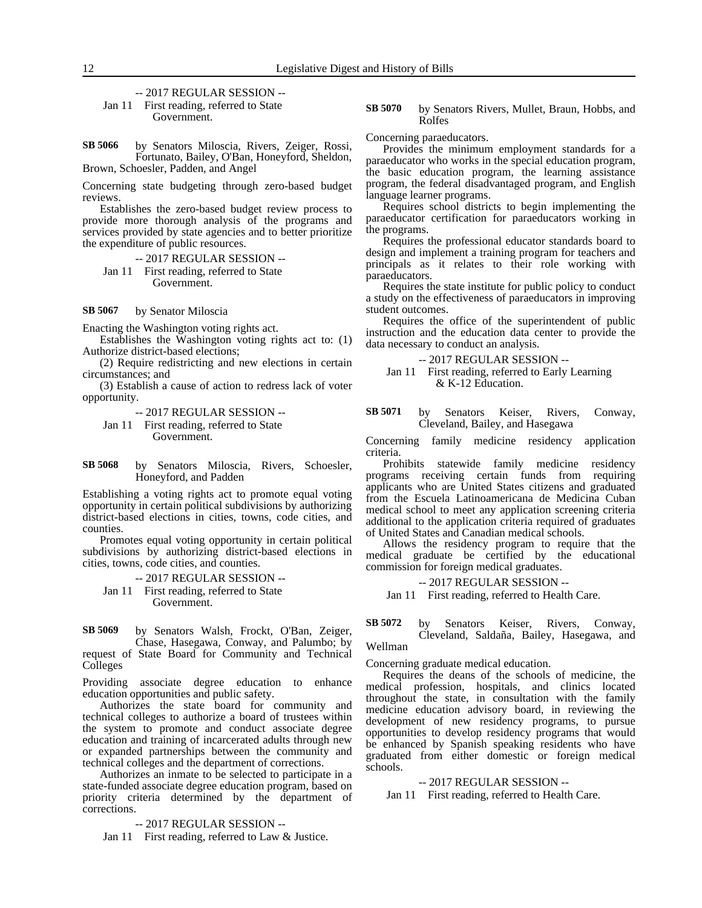-- 2017 REGULAR SESSION -- Jan 11 First reading, referred to State Government.

by Senators Miloscia, Rivers, Zeiger, Rossi, Fortunato, Bailey, O'Ban, Honeyford, Sheldon, Brown, Schoesler, Padden, and Angel **SB 5066**

Concerning state budgeting through zero-based budget reviews.

Establishes the zero-based budget review process to provide more thorough analysis of the programs and services provided by state agencies and to better prioritize the expenditure of public resources.

-- 2017 REGULAR SESSION -- Jan 11 First reading, referred to State Government.

#### by Senator Miloscia **SB 5067**

Enacting the Washington voting rights act.

Establishes the Washington voting rights act to: (1) Authorize district-based elections;

(2) Require redistricting and new elections in certain circumstances; and

(3) Establish a cause of action to redress lack of voter opportunity.

-- 2017 REGULAR SESSION --

Jan 11 First reading, referred to State Government.

by Senators Miloscia, Rivers, Schoesler, Honeyford, and Padden **SB 5068**

Establishing a voting rights act to promote equal voting opportunity in certain political subdivisions by authorizing district-based elections in cities, towns, code cities, and counties.

Promotes equal voting opportunity in certain political subdivisions by authorizing district-based elections in cities, towns, code cities, and counties.

-- 2017 REGULAR SESSION -- Jan 11 First reading, referred to State Government.

by Senators Walsh, Frockt, O'Ban, Zeiger, Chase, Hasegawa, Conway, and Palumbo; by request of State Board for Community and Technical Colleges **SB 5069**

Providing associate degree education to enhance education opportunities and public safety.

Authorizes the state board for community and technical colleges to authorize a board of trustees within the system to promote and conduct associate degree education and training of incarcerated adults through new or expanded partnerships between the community and technical colleges and the department of corrections.

Authorizes an inmate to be selected to participate in a state-funded associate degree education program, based on priority criteria determined by the department of corrections.

-- 2017 REGULAR SESSION --

Jan 11 First reading, referred to Law & Justice.

by Senators Rivers, Mullet, Braun, Hobbs, and Rolfes **SB 5070**

Concerning paraeducators.

Provides the minimum employment standards for a paraeducator who works in the special education program, the basic education program, the learning assistance program, the federal disadvantaged program, and English language learner programs.

Requires school districts to begin implementing the paraeducator certification for paraeducators working in the programs.

Requires the professional educator standards board to design and implement a training program for teachers and principals as it relates to their role working with paraeducators.

Requires the state institute for public policy to conduct a study on the effectiveness of paraeducators in improving student outcomes.

Requires the office of the superintendent of public instruction and the education data center to provide the data necessary to conduct an analysis.

-- 2017 REGULAR SESSION --

Jan 11 First reading, referred to Early Learning & K-12 Education.

by Senators Keiser, Rivers, Conway, Cleveland, Bailey, and Hasegawa **SB 5071**

Concerning family medicine residency application criteria.

Prohibits statewide family medicine residency programs receiving certain funds from requiring applicants who are United States citizens and graduated from the Escuela Latinoamericana de Medicina Cuban medical school to meet any application screening criteria additional to the application criteria required of graduates of United States and Canadian medical schools.

Allows the residency program to require that the medical graduate be certified by the educational commission for foreign medical graduates.

-- 2017 REGULAR SESSION --

Jan 11 First reading, referred to Health Care.

by Senators Keiser, Rivers, Conway, Cleveland, Saldaña, Bailey, Hasegawa, and Wellman **SB 5072**

Concerning graduate medical education.

Requires the deans of the schools of medicine, the medical profession, hospitals, and clinics located throughout the state, in consultation with the family medicine education advisory board, in reviewing the development of new residency programs, to pursue opportunities to develop residency programs that would be enhanced by Spanish speaking residents who have graduated from either domestic or foreign medical schools.

-- 2017 REGULAR SESSION --

Jan 11 First reading, referred to Health Care.